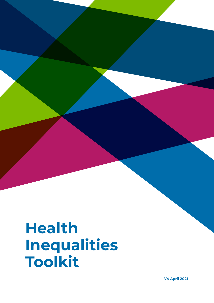# **Health Inequalities Toolkit**

**V4 April 2021**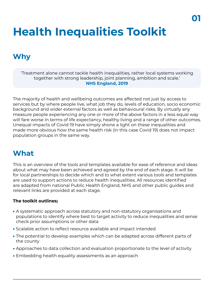# **Health Inequalities Toolkit**

## **Why**

'Treatment alone cannot tackle health inequalities, rather local systems working together with strong leadership, joint planning, ambition and scale.' **NHS England, 2019**

The majority of health and wellbeing outcomes are affected not just by access to services but by where people live, what job they do, levels of education, socio economic background and wider external factors as well as behavioural risks. By virtually any measure people experiencing any one or more of the above factors in a less equal way will fare worse in terms of life expectancy, healthy living and a range of other outcomes. Unequal impacts of Covid 19 have simply shone a light on these inequalities and made more obvious how the same health risk (in this case Covid 19) does not impact population groups in the same way.

## **What**

This is an overview of the tools and templates available for ease of reference and ideas about what may have been achieved and agreed by the end of each stage. It will be for local partnerships to decide which and to what extent various tools and templates are used to support actions to reduce health inequalities. All resources identified are adapted from national Public Health England, NHS and other public guides and relevant links are provided at each stage.

#### **The toolkit outlines;**

- A systematic approach across statutory and non-statutory organisations and populations to identify where best to target activity to reduce inequalities and sense check prior assumptions or other data
- Scalable action to reflect resource available and impact intended
- The potential to develop examples which can be adapted across different parts of the county
- Approaches to data collection and evaluation proportionate to the level of activity
- Embedding health equality assessments as an approach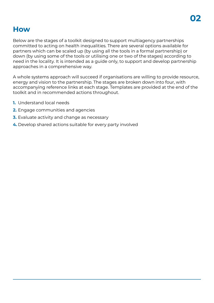## **How**

Below are the stages of a toolkit designed to support multiagency partnerships committed to acting on health inequalities. There are several options available for partners which can be scaled up (by using all the tools in a formal partnership) or down (by using some of the tools or utilising one or two of the stages) according to need in the locality. It is intended as a guide only, to support and develop partnership approaches in a comprehensive way.

A whole systems approach will succeed if organisations are willing to provide resource, energy and vision to the partnership. The stages are broken down into four, with accompanying reference links at each stage. Templates are provided at the end of the toolkit and in recommended actions throughout.

- **1.** Understand local needs
- **2.** Engage communities and agencies
- **3.** Evaluate activity and change as necessary
- **4.** Develop shared actions suitable for every party involved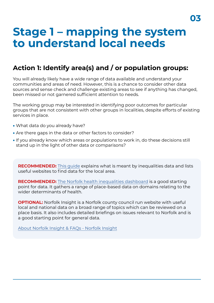## **Stage 1 – mapping the system to understand local needs**

### **Action 1: Identify area(s) and / or population groups:**

You will already likely have a wide range of data available and understand your communities and areas of need. However, this is a chance to consider other data sources and sense check and challenge existing areas to see if anything has changed, been missed or not garnered sufficient attention to needs.

The working group may be interested in identifying poor outcomes for particular groups that are not consistent with other groups in localities, despite efforts of existing services in place.

- What data do you already have?
- Are there gaps in the data or other factors to consider?
- If you already know which areas or populations to work in, do these decisions still stand up in the light of other data or comparisons?

**RECOMMENDED:** [This guide](https://assets.publishing.service.gov.uk/government/uploads/system/uploads/attachment_data/file/817767/PBA_Inequalites_datasources.pdf) explains what is meant by inequalities data and lists useful websites to find data for the local area.

**RECOMMENDED:** [The Norfolk health inequalities dashboard](http://bit.ly/Health_Inequalities_NorfolkWaveneyV2) is a good starting point for data. It gathers a range of place-based data on domains relating to the wider determinants of health.

**OPTIONAL:** Norfolk Insight is a Norfolk county council run website with useful local and national data on a broad range of topics which can be reviewed on a place basis. It also includes detailed briefings on issues relevant to Norfolk and is a good starting point for general data.

[About Norfolk Insight & FAQs - Norfolk Insight](https://www.norfolkinsight.org.uk/about-us/)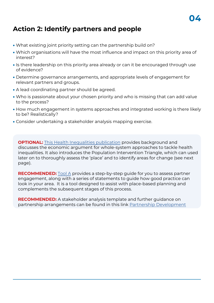## **Action 2: Identify partners and people**

- What existing joint priority setting can the partnership build on?
- Which organisations will have the most influence and impact on this priority area of interest?
- Is there leadership on this priority area already or can it be encouraged through use of evidence?
- Determine governance arrangements, and appropriate levels of engagement for relevant partners and groups.
- A lead coordinating partner should be agreed.
- Who is passionate about your chosen priority and who is missing that can add value to the process?
- How much engagement in systems approaches and integrated working is there likely to be? Realistically?
- Consider undertaking a stakeholder analysis mapping exercise.

**OPTIONAL:** [This Health Inequalities publication](https://www.gov.uk/government/publications/health-inequalities-place-based-approaches-to-reduce-inequalities/place-based-approaches-for-reducing-health-inequalities-main-report) provides background and discusses the economic argument for whole-system approaches to tackle health inequalities. It also introduces the Population Intervention Triangle, which can used later on to thoroughly assess the 'place' and to identify areas for change (see next page).

**RECOMMENDED:** [Tool A](https://assets.publishing.service.gov.uk/government/uploads/system/uploads/attachment_data/file/825133/Tool_A.pdf) provides a step-by-step guide for you to assess partner engagement, along with a series of statements to guide how good practice can look in your area. It is a tool designed to assist with place-based planning and complements the subsequent stages of this process.

**RECOMMENDED:** A stakeholder analysis template and further guidance on partnership arrangements can be found in this link [Partnership Development](https://www.norfolkinsight.org.uk/resource-health-inequalities-toolkit-partnership-development/)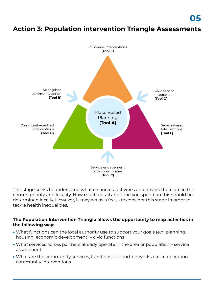## **Action 3: Population intervention Triangle Assessments**



This stage seeks to understand what resources, activities and drivers there are in the chosen priority and locality. How much detail and time you spend on this should be determined locally. However, it may act as a focus to consider this stage in order to tackle health inequalities.

#### **The Population Intervention Triangle allows the opportunity to map activities in the following way:**

- What functions can the local authority use to support your goals (e.g. planning, housing, economic development) – civic functions
- What services across partners already operate in the area or population service assessment
- What are the community services, functions, support networks etc. in operation community interventions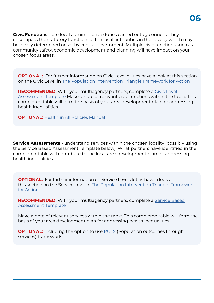**Civic Functions** – are local administrative duties carried out by councils. They encompass the statutory functions of the local authorities in the locality which may be locally determined or set by central government. Multiple civic functions such as community safety, economic development and planning will have impact on your chosen focus areas.

**OPTIONAL:** For further information on Civic Level duties have a look at this section on the Civic Level in [The Population Intervention Triangle Framework for Action](https://www.gov.uk/government/publications/health-inequalities-place-based-approaches-to-reduce-inequalities/place-based-approaches-for-reducing-health-inequalities-main-report#section-1-to-3-segments)

**RECOMMENDED:** With your multiagency partners, complete a Civic Level [Assessment Template Make a note of relevant civic functions within the ta](https://www.norfolkinsight.org.uk/resource-health-inequalities-toolkit-civic-level-assessment/)ble. This completed table will form the basis of your area development plan for addressing health inequalities.

**OPTIONAL:** [Health in All Policies Manual](https://www.local.gov.uk/sites/default/files/documents/health-all-policies-hiap--8df.pdf)

**Service Assessments** - understand services within the chosen locality (possibly using the Service Based Assessment Template below). What partners have identified in the completed table will contribute to the local area development plan for addressing health inequalities

**OPTIONAL:** For further information on Service Level duties have a look at this section on the Service Level in [The Population Intervention Triangle Framework](https://www.gov.uk/government/publications/health-inequalities-place-based-approaches-to-reduce-inequalities/place-based-approaches-for-reducing-health-inequalities-main-report#service-based-interventions) for [Action](https://www.gov.uk/government/publications/health-inequalities-place-based-approaches-to-reduce-inequalities/place-based-approaches-for-reducing-health-inequalities-main-report#service-based-interventions)

**RECOMMENDED:** [With your multiagency partners, complete a Service Based](https://www.norfolkinsight.org.uk/resource-health-inequalities-toolkit-service-based-assessment/) Assessment Template

Make a note of relevant services within the table. This completed table will form the basis of your area development plan for addressing health inequalities.

**OPTIONAL:** Including the option to use [POTS](https://www.gov.uk/government/publications/health-inequalities-place-based-approaches-to-reduce-inequalities/place-based-approaches-for-reducing-health-inequalities-main-report) (Population outcomes through services) framework.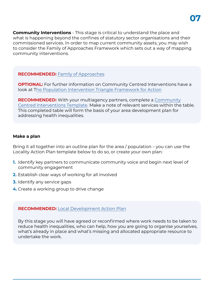**Community Interventions** - This stage is critical to understand the place and what is happening beyond the confines of statutory sector organisations and their commissioned services. In order to map current community assets, you may wish to consider the Family of Approaches Framework which sets out a way of mapping community interventions.

#### **RECOMMENDED:** [Family of Approaches](https://assets.publishing.service.gov.uk/government/uploads/system/uploads/attachment_data/file/768979/A_guide_to_community-centred_approaches_for_health_and_wellbeing__full_report_.pdf)

**OPTIONAL:** For further information on Community Centred Interventions have a look at T[he Population Intervention Triangle Framework for Action](https://www.gov.uk/government/publications/health-inequalities-place-based-approaches-to-reduce-inequalities/place-based-approaches-for-reducing-health-inequalities-main-report#community-centred-interventions) 

**RECOMMENDED:** With your multiagency partners, complete a Community [Centred Interventions Template. Make a note of relevant services within the](https://www.norfolkinsight.org.uk/resource-health-inequalities-toolkit-community-centred-assessment/) table. This completed table will form the basis of your area development plan for addressing health inequalities.

#### **Make a plan**

Bring it all together into an outline plan for the area / population – you can use the Locality Action Plan template below to do so, or create your own plan:

- **1.** Identify key partners to communicate community voice and begin next level of community engagement
- **2.** Establish clear ways of working for all involved
- **3.** Identify any service gaps
- **4.** Create a working group to drive change

#### **RECOMMENDED:** [Local Development Action Plan](https://www.norfolkinsight.org.uk/resource-health-inequalities-toolkit-local-development-action-plan/)

By this stage you will have agreed or reconfirmed where work needs to be taken to reduce health inequalities, who can help, how you are going to organise yourselves, what's already in place and what's missing and allocated appropriate resource to undertake the work.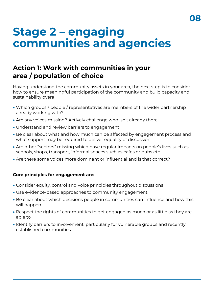## **Stage 2 – engaging communities and agencies**

### **Action 1: Work with communities in your area / population of choice**

Having understood the community assets in your area, the next step is to consider how to ensure meaningful participation of the community and build capacity and sustainability overall.

- Which groups / people / representatives are members of the wider partnership already working with?
- Are any voices missing? Actively challenge who isn't already there
- Understand and review barriers to engagement
- Be clear about what and how much can be affected by engagement process and what support may be required to deliver equality of discussion
- Are other "sectors" missing which have regular impacts on people's lives such as schools, shops, transport, informal spaces such as cafes or pubs etc
- Are there some voices more dominant or influential and is that correct?

#### **Core principles for engagement are:**

- Consider equity, control and voice principles throughout discussions
- Use evidence-based approaches to community engagement
- Be clear about which decisions people in communities can influence and how this will happen
- Respect the rights of communities to get engaged as much or as little as they are able to
- Identify barriers to involvement, particularly for vulnerable groups and recently established communities.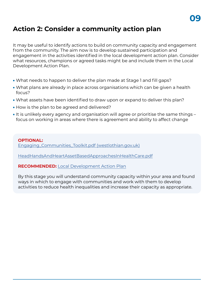## **Action 2: Consider a community action plan**

It may be useful to identify actions to build on community capacity and engagement from the community. The aim now is to develop sustained participation and engagement in the activities identified in the local development action plan. Consider what resources, champions or agreed tasks might be and include them in the Local Development Action Plan.

- What needs to happen to deliver the plan made at Stage 1 and fill gaps?
- What plans are already in place across organisations which can be given a health focus?
- What assets have been identified to draw upon or expand to deliver this plan?
- How is the plan to be agreed and delivered?
- It is unlikely every agency and organisation will agree or prioritise the same things focus on working in areas where there is agreement and ability to affect change

#### **OPTIONAL:**

[Engaging\\_Communities\\_Toolkit.pdf \(westlothian.gov.uk\)](https://www.westlothian.gov.uk/media/8652/Engaging-Communities-Toolkit/pdf/Engaging_Communities_Toolkit.pdf)

[HeadHandsAndHeartAssetBasedApproachesInHealthCare.pdf](https://www.health.org.uk/sites/default/files/HeadHandsAndHeartAssetBasedApproachesInHealthCare.pdf)

**RECOMMENDED:** [Local Development Action Plan](https://www.norfolkinsight.org.uk/resource-health-inequalities-toolkit-local-development-action-plan/)

By this stage you will understand community capacity within your area and found ways in which to engage with communities and work with them to develop activities to reduce health inequalities and increase their capacity as appropriate.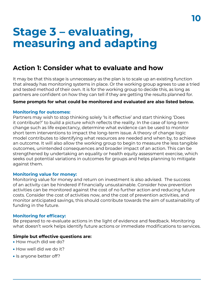## **Stage 3 – evaluating, measuring and adapting**

### **Action 1: Consider what to evaluate and how**

It may be that this stage is unnecessary as the plan is to scale up an existing function that already has monitoring systems in place. Or the working group agrees to use a tried and tested method of their own. It is for the working group to decide this, as long as partners are confident on how they can tell if they are getting the results planned for.

#### **Some prompts for what could be monitored and evaluated are also listed below.**

#### **Monitoring for outcomes:**

Partners may wish to stop thinking solely 'Is it effective' and start thinking 'Does it contribute?' to build a picture which reflects the reality. In the case of long-term change such as life expectancy, determine what evidence can be used to monitor short term interventions to impact the long-term issue. A theory of change logic model contributes to identifying what resources are needed and when by, to achieve an outcome. It will also allow the working group to begin to measure the less tangible outcomes, unintended consequences and broader impact of an action. This can be strengthened by undertaking an equality or health equity assessment exercise, which seeks out potential variations in outcomes for groups and helps planning to mitigate against them.

#### **Monitoring value for money:**

Monitoring value for money and return on investment is also advised. The success of an activity can be hindered if financially unsustainable. Consider how prevention activities can be monitored against the cost of no further action and reducing future costs. Consider the cost of activities now, and the cost of prevention activities, and monitor anticipated savings, this should contribute towards the aim of sustainability of funding in the future.

#### **Monitoring for efficacy:**

Be prepared to re-evaluate actions in the light of evidence and feedback. Monitoring what doesn't work helps identify future actions or immediate modifications to services.

#### **Simple but effective questions are:**

- How much did we do?
- How well did we do it?
- Is anyone better off?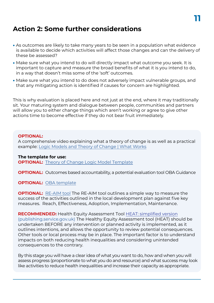### **Action 2: Some further considerations**

- As outcomes are likely to take many years to be seen in a population what evidence is available to decide which activities will affect those changes and can the delivery of these be assessed?
- Make sure what you intend to do will directly impact what outcome you seek. It is important to capture and measure the broad benefits of what it is you intend to do, in a way that doesn't miss some of the 'soft' outcomes.
- Make sure what you intend to do does not adversely impact vulnerable groups, and that any mitigating action is identified if causes for concern are highlighted.

This is why evaluation is placed here and not just at the end, where it may traditionally sit. Your maturing system and dialogue between people, communities and partners will allow you to either change things which aren't working or agree to give other actions time to become effective if they do not bear fruit immediately.

#### **OPTIONAL:**

A comprehensive video explaining what a theory of change is as well as a practical example: [Logic Models and Theory of Change | What Works](https://whatworks.org.nz/logic-model/)

#### **The template for use:**

**OPTIONAL:** [Theory of Change Logic Model Template](https://www.norfolkinsight.org.uk/resource-health-inequalities-toolkit-logic-model/)

**OPTIONAL:** Outcomes based accountability, a potential evaluation tool OBA Guidance

#### **OPTIONAL:** [OBA template](https://www.ncb.org.uk/sites/default/files/uploads/files/OBA%20Guidance%20-%20Updated%20postO%26I.pdf)

**OPTIONAL:** [RE-AIM tool](https://www.re-aim.org/about/frequently-asked-questions/) The RE-AIM tool outlines a simple way to measure the success of the activities outlined in the local development plan against five key measures. Reach, Effectiveness, Adoption, Implementation, Maintenance.

**RECOMMENDED:** Health Equity Assessment Tool [HEAT: simplified version](https://www.norfolkinsight.org.uk/resource-health-inequalities-toolkit-health-equity-assessment-tool/) (publishing.service.gov.uk) The Healthy Equity Assessment tool (HEAT) should be undertaken BEFORE any intervention or planned activity is implemented, as it outlines intentions, and allows the opportunity to review potential consequences. Other tools or local process may be in place. The important factor is to understand impacts on both reducing health inequalities and considering unintended consequences to the contrary.

By this stage you will have a clear idea of what you want to do, how and when you will assess progress (proportionate to what you do and resource) and what success may look like activities to reduce health inequalities and increase their capacity as appropriate.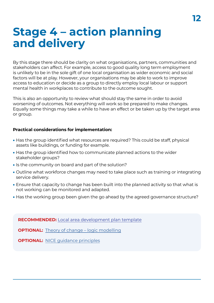## **Stage 4 – action planning and delivery**

By this stage there should be clarity on what organisations, partners, communities and stakeholders can affect. For example, access to good quality long term employment is unlikely to be in the sole gift of one local organisation as wider economic and social factors will be at play. However, your organisations may be able to work to improve access to education or decide as a group to directly employ local labour or support mental health in workplaces to contribute to the outcome sought.

This is also an opportunity to review what should stay the same in order to avoid worsening of outcomes. Not everything will work so be prepared to make changes. Equally some things may take a while to have an effect or be taken up by the target area or group.

#### **Practical considerations for implementation:**

- Has the group identified what resources are required? This could be staff, physical assets like buildings, or funding for example.
- Has the group identified how to communicate planned actions to the wider stakeholder groups?
- Is the community on board and part of the solution?
- Outline what workforce changes may need to take place such as training or integrating service delivery.
- Ensure that capacity to change has been built into the planned activity so that what is not working can be monitored and adapted.
- Has the working group been given the go ahead by the agreed governance structure?

**RECOMMENDED:** [Local area development plan template](https://www.norfolkinsight.org.uk/resource-health-inequalities-toolkit-local-development-action-plan/)

**OPTIONAL:** [Theory of change – logic modelling](https://www.norfolkinsight.org.uk/resource-health-inequalities-toolkit-logic-model/)

**OPTIONAL:** NICE quidance principles